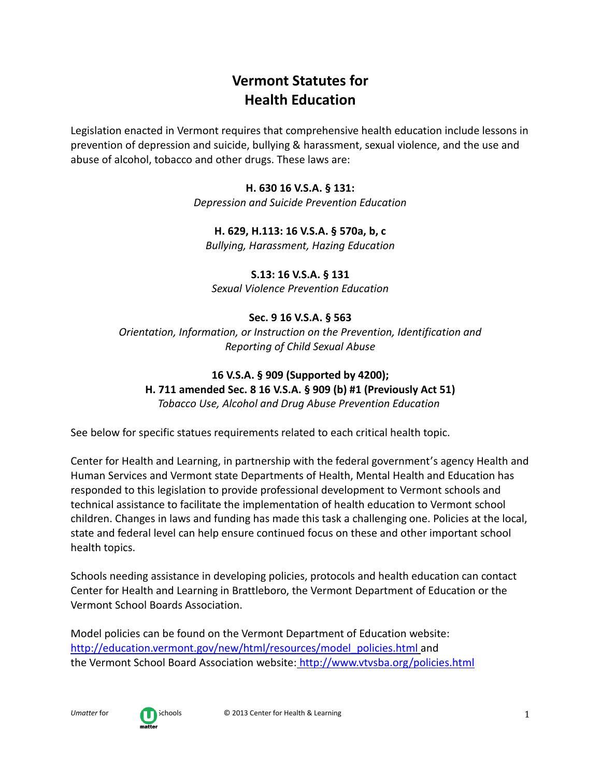# **Vermont Statutes for Health Education**

Legislation enacted in Vermont requires that comprehensive health education include lessons in prevention of depression and suicide, bullying & harassment, sexual violence, and the use and abuse of alcohol, tobacco and other drugs. These laws are:

#### **H. 630 16 V.S.A. § 131:**

*Depression and Suicide Prevention Education*

### **H. 629, H.113: 16 V.S.A. § 570a, b, c**

*Bullying, Harassment, Hazing Education*

# **S.13: 16 V.S.A. § 131**

*Sexual Violence Prevention Education*

### **Sec. 9 16 V.S.A. § 563**

*Orientation, Information, or Instruction on the Prevention, Identification and Reporting of Child Sexual Abuse*

# **16 V.S.A. § 909 (Supported by 4200);**

**H. 711 amended Sec. 8 16 V.S.A. § 909 (b) #1 (Previously Act 51)**

*Tobacco Use, Alcohol and Drug Abuse Prevention Education*

See below for specific statues requirements related to each critical health topic.

Center for Health and Learning, in partnership with the federal government's agency Health and Human Services and Vermont state Departments of Health, Mental Health and Education has responded to this legislation to provide professional development to Vermont schools and technical assistance to facilitate the implementation of health education to Vermont school children. Changes in laws and funding has made this task a challenging one. Policies at the local, state and federal level can help ensure continued focus on these and other important school health topics.

Schools needing assistance in developing policies, protocols and health education can contact Center for Health and Learning in Brattleboro, the Vermont Department of Education or the Vermont School Boards Association.

Model policies can be found on the Vermont Department of Education website: [http://education.vermont.gov/new/html/resources/model\\_policies.html](http://education.vermont.gov/new/html/resources/model_policies.html) and the Vermont School Board Association website: http://www.vtvsba.org/policies.html

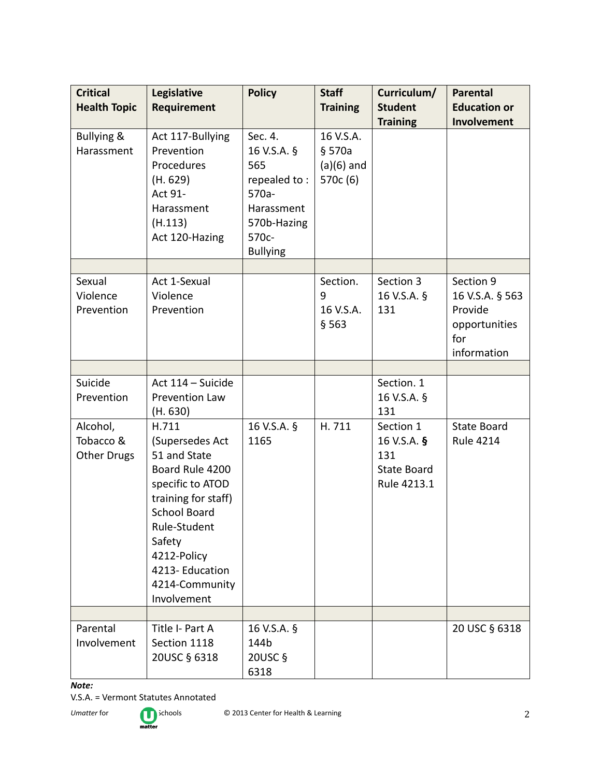| <b>Critical</b><br><b>Health Topic</b>      | Legislative<br><b>Requirement</b>                                                                                                                                                                                         | <b>Policy</b>                                                                                                      | <b>Staff</b><br><b>Training</b>                 | Curriculum/<br><b>Student</b>                                        | <b>Parental</b><br><b>Education or</b>                                         |
|---------------------------------------------|---------------------------------------------------------------------------------------------------------------------------------------------------------------------------------------------------------------------------|--------------------------------------------------------------------------------------------------------------------|-------------------------------------------------|----------------------------------------------------------------------|--------------------------------------------------------------------------------|
|                                             |                                                                                                                                                                                                                           |                                                                                                                    |                                                 | <b>Training</b>                                                      | Involvement                                                                    |
| <b>Bullying &amp;</b><br>Harassment         | Act 117-Bullying<br>Prevention<br>Procedures<br>(H. 629)<br>Act 91-<br>Harassment<br>(H.113)<br>Act 120-Hazing                                                                                                            | Sec. 4.<br>16 V.S.A. §<br>565<br>repealed to:<br>$570a -$<br>Harassment<br>570b-Hazing<br>570c-<br><b>Bullying</b> | 16 V.S.A.<br>§ 570a<br>$(a)(6)$ and<br>570c (6) |                                                                      |                                                                                |
|                                             |                                                                                                                                                                                                                           |                                                                                                                    |                                                 |                                                                      |                                                                                |
| Sexual<br>Violence<br>Prevention            | Act 1-Sexual<br>Violence<br>Prevention                                                                                                                                                                                    |                                                                                                                    | Section.<br>9<br>16 V.S.A.<br>§ 563             | Section 3<br>16 V.S.A. §<br>131                                      | Section 9<br>16 V.S.A. § 563<br>Provide<br>opportunities<br>for<br>information |
|                                             |                                                                                                                                                                                                                           |                                                                                                                    |                                                 |                                                                      |                                                                                |
| Suicide<br>Prevention                       | Act 114 - Suicide<br><b>Prevention Law</b><br>(H. 630)                                                                                                                                                                    |                                                                                                                    |                                                 | Section. 1<br>16 V.S.A. §<br>131                                     |                                                                                |
| Alcohol,<br>Tobacco &<br><b>Other Drugs</b> | H.711<br>(Supersedes Act<br>51 and State<br>Board Rule 4200<br>specific to ATOD<br>training for staff)<br><b>School Board</b><br>Rule-Student<br>Safety<br>4212-Policy<br>4213-Education<br>4214-Community<br>Involvement | 16 V.S.A. §<br>1165                                                                                                | H.711                                           | Section 1<br>16 V.S.A. §<br>131<br><b>State Board</b><br>Rule 4213.1 | <b>State Board</b><br><b>Rule 4214</b>                                         |
|                                             |                                                                                                                                                                                                                           |                                                                                                                    |                                                 |                                                                      |                                                                                |
| Parental<br>Involvement                     | Title I- Part A<br>Section 1118<br>20USC § 6318                                                                                                                                                                           | 16 V.S.A. §<br>144b<br>20USC §<br>6318                                                                             |                                                 |                                                                      | 20 USC § 6318                                                                  |

### *Note:*

V.S.A. = Vermont Statutes Annotated

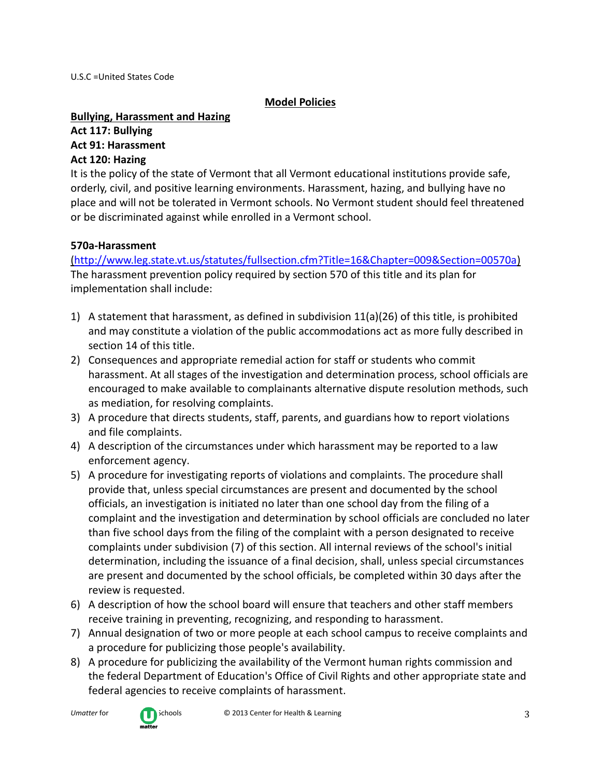U.S.C =United States Code

#### **Model Policies**

#### **Bullying, Harassment and Hazing**

# **Act 117: Bullying Act 91: Harassment**

#### **Act 120: Hazing**

It is the policy of the state of Vermont that all Vermont educational institutions provide safe, orderly, civil, and positive learning environments. Harassment, hazing, and bullying have no place and will not be tolerated in Vermont schools. No Vermont student should feel threatened or be discriminated against while enrolled in a Vermont school.

### **570a-Harassment**

[\(http://www.leg.state.vt.us/statutes/fullsection.cfm?Title=16&Chapter=009&Section=00570a\)](http://www.leg.state.vt.us/statutes/fullsection.cfm?Title=16&Chapter=009&Section=00570a) The harassment prevention policy required by section 570 of this title and its plan for implementation shall include:

- 1) A statement that harassment, as defined in subdivision 11(a)(26) of this title, is prohibited and may constitute a violation of the public accommodations act as more fully described in section 14 of this title.
- 2) Consequences and appropriate remedial action for staff or students who commit harassment. At all stages of the investigation and determination process, school officials are encouraged to make available to complainants alternative dispute resolution methods, such as mediation, for resolving complaints.
- 3) A procedure that directs students, staff, parents, and guardians how to report violations and file complaints.
- 4) A description of the circumstances under which harassment may be reported to a law enforcement agency.
- 5) A procedure for investigating reports of violations and complaints. The procedure shall provide that, unless special circumstances are present and documented by the school officials, an investigation is initiated no later than one school day from the filing of a complaint and the investigation and determination by school officials are concluded no later than five school days from the filing of the complaint with a person designated to receive complaints under subdivision (7) of this section. All internal reviews of the school's initial determination, including the issuance of a final decision, shall, unless special circumstances are present and documented by the school officials, be completed within 30 days after the review is requested.
- 6) A description of how the school board will ensure that teachers and other staff members receive training in preventing, recognizing, and responding to harassment.
- 7) Annual designation of two or more people at each school campus to receive complaints and a procedure for publicizing those people's availability.
- 8) A procedure for publicizing the availability of the Vermont human rights commission and the federal Department of Education's Office of Civil Rights and other appropriate state and federal agencies to receive complaints of harassment.



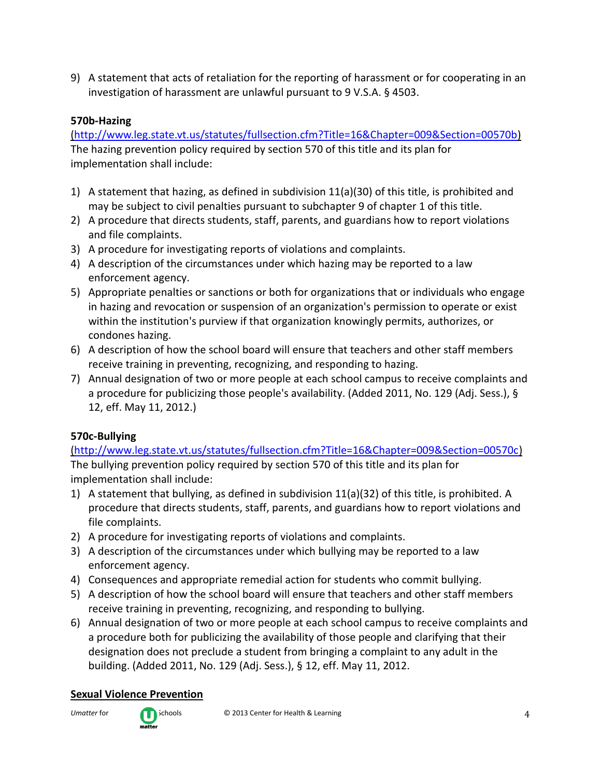9) A statement that acts of retaliation for the reporting of harassment or for cooperating in an investigation of harassment are unlawful pursuant to 9 V.S.A. § 4503.

### **570b-Hazing**

[\(http://www.leg.state.vt.us/statutes/fullsection.cfm?Title=16&Chapter=009&Section=00570b\)](http://www.leg.state.vt.us/statutes/fullsection.cfm?Title=16&Chapter=009&Section=00570b) The hazing prevention policy required by section 570 of this title and its plan for implementation shall include:

- 1) A statement that hazing, as defined in subdivision 11(a)(30) of this title, is prohibited and may be subject to civil penalties pursuant to subchapter 9 of chapter 1 of this title.
- 2) A procedure that directs students, staff, parents, and guardians how to report violations and file complaints.
- 3) A procedure for investigating reports of violations and complaints.
- 4) A description of the circumstances under which hazing may be reported to a law enforcement agency.
- 5) Appropriate penalties or sanctions or both for organizations that or individuals who engage in hazing and revocation or suspension of an organization's permission to operate or exist within the institution's purview if that organization knowingly permits, authorizes, or condones hazing.
- 6) A description of how the school board will ensure that teachers and other staff members receive training in preventing, recognizing, and responding to hazing.
- 7) Annual designation of two or more people at each school campus to receive complaints and a procedure for publicizing those people's availability. (Added 2011, No. 129 (Adj. Sess.), § 12, eff. May 11, 2012.)

# **570c-Bullying**

[\(http://www.leg.state.vt.us/statutes/fullsection.cfm?Title=16&Chapter=009&Section=00570c\)](http://www.leg.state.vt.us/statutes/fullsection.cfm?Title=16&Chapter=009&Section=00570c) The bullying prevention policy required by section 570 of this title and its plan for implementation shall include:

- 1) A statement that bullying, as defined in subdivision 11(a)(32) of this title, is prohibited. A procedure that directs students, staff, parents, and guardians how to report violations and file complaints.
- 2) A procedure for investigating reports of violations and complaints.
- 3) A description of the circumstances under which bullying may be reported to a law enforcement agency.
- 4) Consequences and appropriate remedial action for students who commit bullying.
- 5) A description of how the school board will ensure that teachers and other staff members receive training in preventing, recognizing, and responding to bullying.
- 6) Annual designation of two or more people at each school campus to receive complaints and a procedure both for publicizing the availability of those people and clarifying that their designation does not preclude a student from bringing a complaint to any adult in the building. (Added 2011, No. 129 (Adj. Sess.), § 12, eff. May 11, 2012.

# **Sexual Violence Prevention**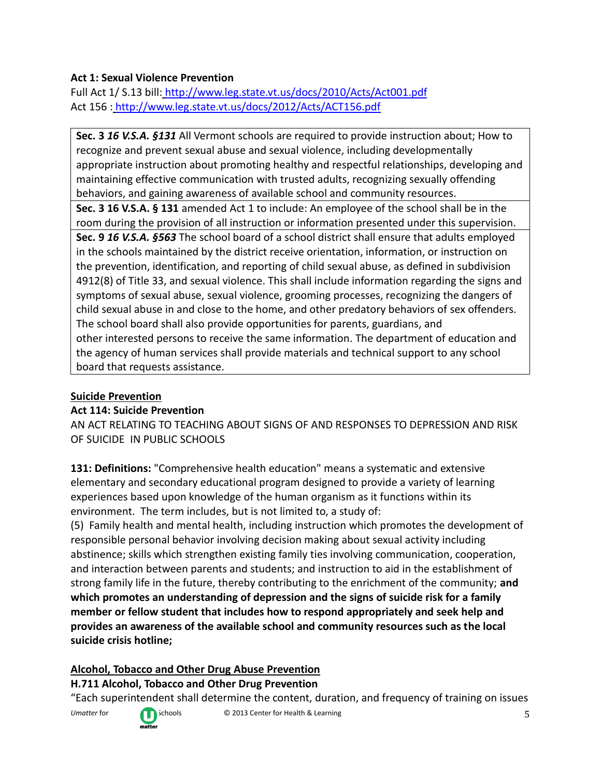### **Act 1: Sexual Violence Prevention**

Full Act 1/ S.13 bill: http://www.leg.state.vt.us/docs/2010/Acts/Act001.pdf Act 156 : http://www.leg.state.vt.us/docs/2012/Acts/ACT156.pdf

**Sec. 3** *16 V.S.A. §131* All Vermont schools are required to provide instruction about; How to recognize and prevent sexual abuse and sexual violence, including developmentally appropriate instruction about promoting healthy and respectful relationships, developing and maintaining effective communication with trusted adults, recognizing sexually offending behaviors, and gaining awareness of available school and community resources.

**Sec. 3 16 V.S.A. § 131** amended Act 1 to include: An employee of the school shall be in the room during the provision of all instruction or information presented under this supervision.

**Sec. 9** *16 V.S.A. §563* The school board of a school district shall ensure that adults employed in the schools maintained by the district receive orientation, information, or instruction on the prevention, identification, and reporting of child sexual abuse, as defined in subdivision 4912(8) of Title 33, and sexual violence. This shall include information regarding the signs and symptoms of sexual abuse, sexual violence, grooming processes, recognizing the dangers of child sexual abuse in and close to the home, and other predatory behaviors of sex offenders. The school board shall also provide opportunities for parents, guardians, and other interested persons to receive the same information. The department of education and the agency of human services shall provide materials and technical support to any school board that requests assistance.

### **Suicide Prevention**

### **Act 114: Suicide Prevention**

AN ACT RELATING TO TEACHING ABOUT SIGNS OF AND RESPONSES TO DEPRESSION AND RISK OF SUICIDE IN PUBLIC SCHOOLS

**131: Definitions:** "Comprehensive health education" means a systematic and extensive elementary and secondary educational program designed to provide a variety of learning experiences based upon knowledge of the human organism as it functions within its environment. The term includes, but is not limited to, a study of:

(5) Family health and mental health, including instruction which promotes the development of responsible personal behavior involving decision making about sexual activity including abstinence; skills which strengthen existing family ties involving communication, cooperation, and interaction between parents and students; and instruction to aid in the establishment of strong family life in the future, thereby contributing to the enrichment of the community; **and which promotes an understanding of depression and the signs of suicide risk for a family member or fellow student that includes how to respond appropriately and seek help and provides an awareness of the available school and community resources such as the local suicide crisis hotline;**

### **Alcohol, Tobacco and Other Drug Abuse Prevention**

### **H.711 Alcohol, Tobacco and Other Drug Prevention**

"Each superintendent shall determine the content, duration, and frequency of training on issues



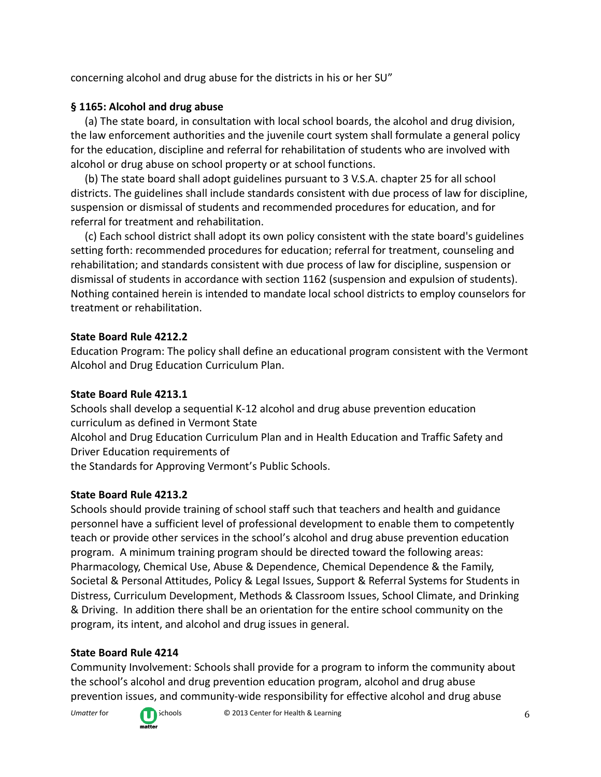concerning alcohol and drug abuse for the districts in his or her SU"

## **§ 1165: Alcohol and drug abuse**

(a) The state board, in consultation with local school boards, the alcohol and drug division, the law enforcement authorities and the juvenile court system shall formulate a general policy for the education, discipline and referral for rehabilitation of students who are involved with alcohol or drug abuse on school property or at school functions.

(b) The state board shall adopt guidelines pursuant to 3 V.S.A. chapter 25 for all school districts. The guidelines shall include standards consistent with due process of law for discipline, suspension or dismissal of students and recommended procedures for education, and for referral for treatment and rehabilitation.

(c) Each school district shall adopt its own policy consistent with the state board's guidelines setting forth: recommended procedures for education; referral for treatment, counseling and rehabilitation; and standards consistent with due process of law for discipline, suspension or dismissal of students in accordance with section 1162 (suspension and expulsion of students). Nothing contained herein is intended to mandate local school districts to employ counselors for treatment or rehabilitation.

### **State Board Rule 4212.2**

Education Program: The policy shall define an educational program consistent with the Vermont Alcohol and Drug Education Curriculum Plan.

## **State Board Rule 4213.1**

Schools shall develop a sequential K-12 alcohol and drug abuse prevention education curriculum as defined in Vermont State

Alcohol and Drug Education Curriculum Plan and in Health Education and Traffic Safety and Driver Education requirements of

the Standards for Approving Vermont's Public Schools.

# **State Board Rule 4213.2**

Schools should provide training of school staff such that teachers and health and guidance personnel have a sufficient level of professional development to enable them to competently teach or provide other services in the school's alcohol and drug abuse prevention education program. A minimum training program should be directed toward the following areas: Pharmacology, Chemical Use, Abuse & Dependence, Chemical Dependence & the Family, Societal & Personal Attitudes, Policy & Legal Issues, Support & Referral Systems for Students in Distress, Curriculum Development, Methods & Classroom Issues, School Climate, and Drinking & Driving. In addition there shall be an orientation for the entire school community on the program, its intent, and alcohol and drug issues in general.

# **State Board Rule 4214**

Community Involvement: Schools shall provide for a program to inform the community about the school's alcohol and drug prevention education program, alcohol and drug abuse prevention issues, and community-wide responsibility for effective alcohol and drug abuse